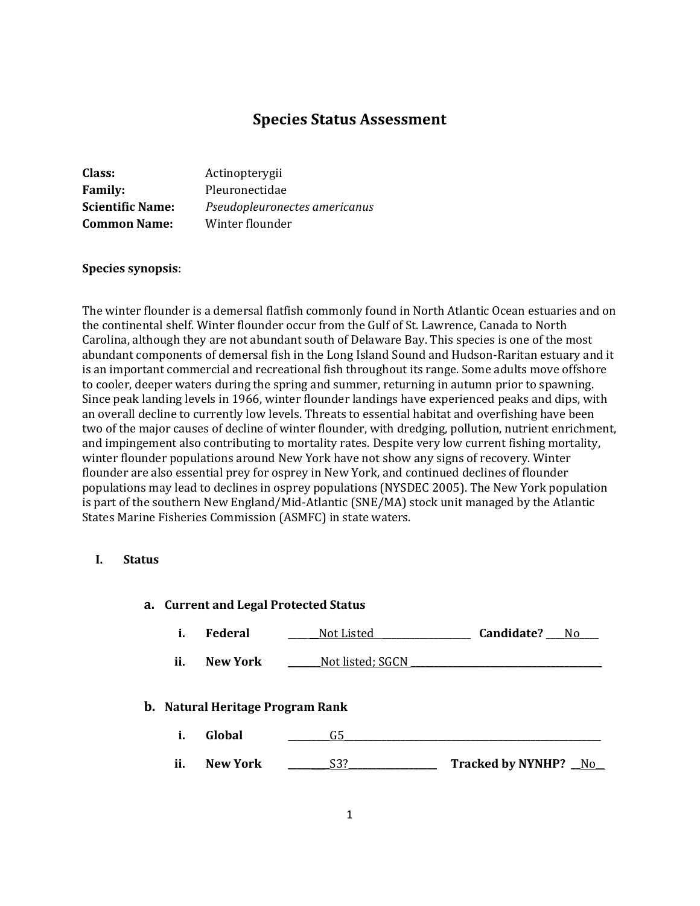# **Species Status Assessment**

| Class:                  | Actinopterygii                |
|-------------------------|-------------------------------|
| <b>Family:</b>          | Pleuronectidae                |
| <b>Scientific Name:</b> | Pseudopleuronectes americanus |
| <b>Common Name:</b>     | Winter flounder               |

#### **Species synopsis**:

The winter flounder is a demersal flatfish commonly found in North Atlantic Ocean estuaries and on the continental shelf. Winter flounder occur from the Gulf of St. Lawrence, Canada to North Carolina, although they are not abundant south of Delaware Bay. This species is one of the most abundant components of demersal fish in the Long Island Sound and Hudson-Raritan estuary and it is an important commercial and recreational fish throughout its range. Some adults move offshore to cooler, deeper waters during the spring and summer, returning in autumn prior to spawning. Since peak landing levels in 1966, winter flounder landings have experienced peaks and dips, with an overall decline to currently low levels. Threats to essential habitat and overfishing have been two of the major causes of decline of winter flounder, with dredging, pollution, nutrient enrichment, and impingement also contributing to mortality rates. Despite very low current fishing mortality, winter flounder populations around New York have not show any signs of recovery. Winter flounder are also essential prey for osprey in New York, and continued declines of flounder populations may lead to declines in osprey populations (NYSDEC 2005). The New York population is part of the southern New England/Mid-Atlantic (SNE/MA) stock unit managed by the Atlantic States Marine Fisheries Commission (ASMFC) in state waters.

#### **I. Status**

|  | a. Current and Legal Protected Status |  |  |  |
|--|---------------------------------------|--|--|--|
|--|---------------------------------------|--|--|--|

|  | Federal | Not Listed | Candidate? | N۵ |
|--|---------|------------|------------|----|
|--|---------|------------|------------|----|

**ii. New York \_\_\_\_\_\_**Not listed; SGCN \_

#### **b. Natural Heritage Program Rank**

- **i. Global \_\_\_\_\_\_\_\_\_**G5**\_\_\_\_\_\_\_\_\_\_\_\_\_\_\_\_\_\_\_\_\_\_\_\_\_\_\_\_\_\_\_\_\_\_\_\_\_\_\_\_\_\_\_\_\_\_\_\_\_\_\_\_\_\_\_**
- **ii. New York \_\_\_\_\_\_\_\_\_**S3?**\_\_\_\_\_\_\_\_\_\_\_\_\_\_\_\_\_\_\_ Tracked by NYNHP? \_\_**No\_\_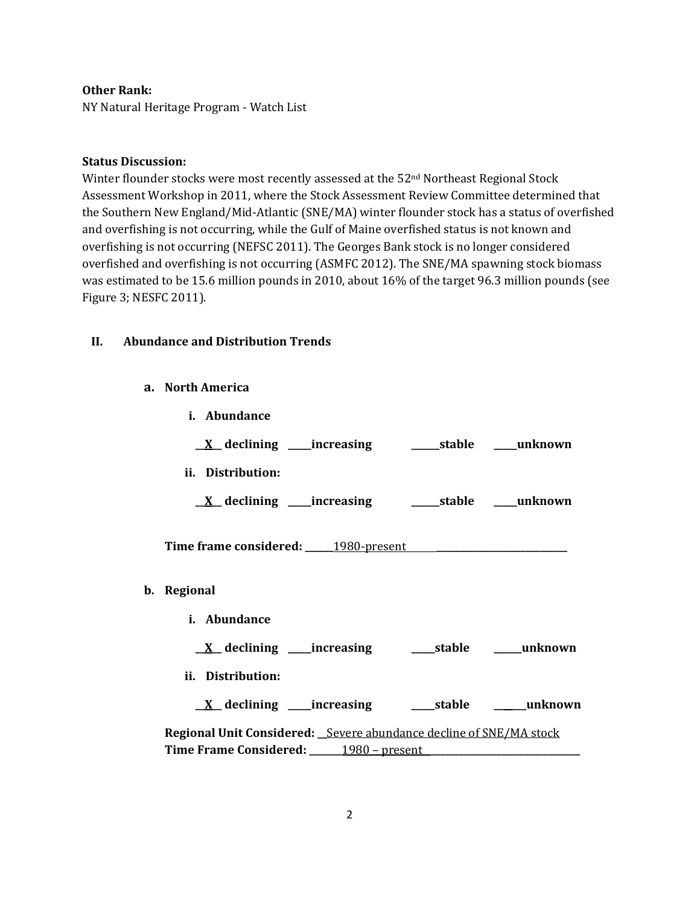### **Other Rank:**

NY Natural Heritage Program - Watch List

### **Status Discussion:**

Winter flounder stocks were most recently assessed at the 52<sup>nd</sup> Northeast Regional Stock Assessment Workshop in 2011, where the Stock Assessment Review Committee determined that the Southern New England/Mid-Atlantic (SNE/MA) winter flounder stock has a status of overfished and overfishing is not occurring, while the Gulf of Maine overfished status is not known and overfishing is not occurring (NEFSC 2011). The Georges Bank stock is no longer considered overfished and overfishing is not occurring (ASMFC 2012). The SNE/MA spawning stock biomass was estimated to be 15.6 million pounds in 2010, about 16% of the target 96.3 million pounds (see Figure 3; NESFC 2011).

### **II. Abundance and Distribution Trends**

**a. North America**

| i. Abundance                                                       |  |  |
|--------------------------------------------------------------------|--|--|
|                                                                    |  |  |
| ii. Distribution:                                                  |  |  |
|                                                                    |  |  |
| Time frame considered: 1980-present 1980-present                   |  |  |
| b. Regional                                                        |  |  |
| <i>i.</i> Abundance                                                |  |  |
|                                                                    |  |  |
| ii. Distribution:                                                  |  |  |
| <u>X</u> declining ____increasing ______stable _______unknown      |  |  |
| Regional Unit Considered: Severe abundance decline of SNE/MA stock |  |  |
| Time Frame Considered: 1980 – present                              |  |  |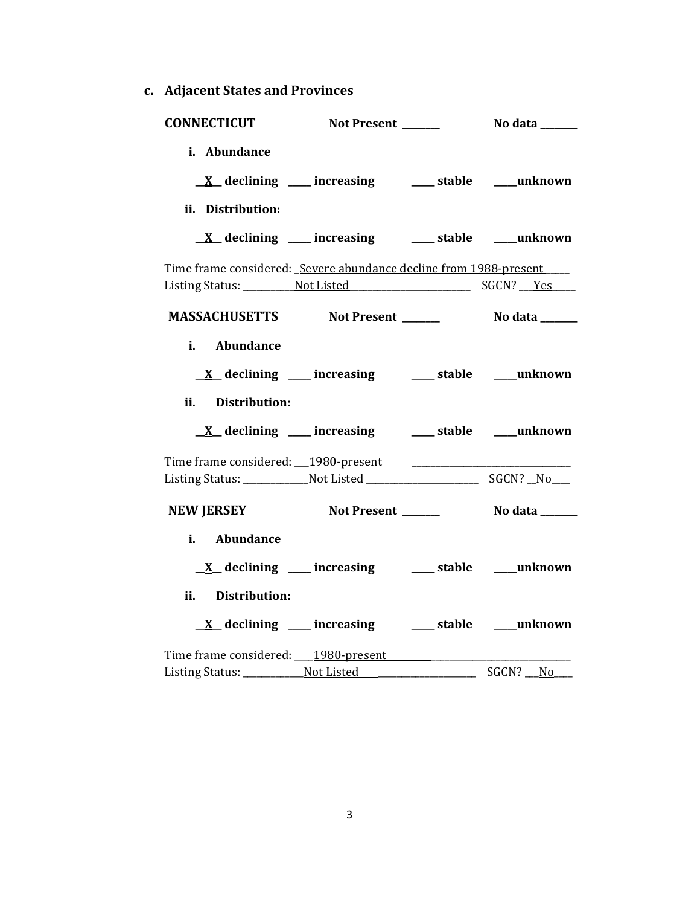**c. Adjacent States and Provinces**

| <b>CONNECTICUT</b>                                                  | Not Present ______ | No data ______ |
|---------------------------------------------------------------------|--------------------|----------------|
| i. Abundance                                                        |                    |                |
| $\underline{X}$ declining ____ increasing ____ stable ____ unknown  |                    |                |
|                                                                     |                    |                |
| ii. Distribution:                                                   |                    |                |
| <u>X</u> declining ____ increasing ____ stable ___ unknown          |                    |                |
| Time frame considered: Severe abundance decline from 1988-present   |                    |                |
| Listing Status: Not Listed Marian Care SGCN? Pes                    |                    |                |
| MASSACHUSETTS Not Present ______                                    |                    | No data ______ |
| i. Abundance                                                        |                    |                |
|                                                                     |                    |                |
| $\underline{X}$ declining ____ increasing _____ stable ____ unknown |                    |                |
| Distribution:<br>ii. –                                              |                    |                |
| $\underline{X}$ declining ___ increasing ___ stable ___ unknown     |                    |                |
|                                                                     |                    |                |
|                                                                     |                    |                |
| NEW JERSEY Not Present ______                                       |                    | No data ______ |
| i. Abundance                                                        |                    |                |
| $\underline{X}$ declining ___ increasing ___ stable ___ unknown     |                    |                |
| Distribution:<br>ii.                                                |                    |                |
| $\underline{X}$ declining ____ increasing _____ stable ____ unknown |                    |                |
| Time frame considered: 1980-present 1980-promotion                  |                    |                |
|                                                                     |                    | SGCN? No       |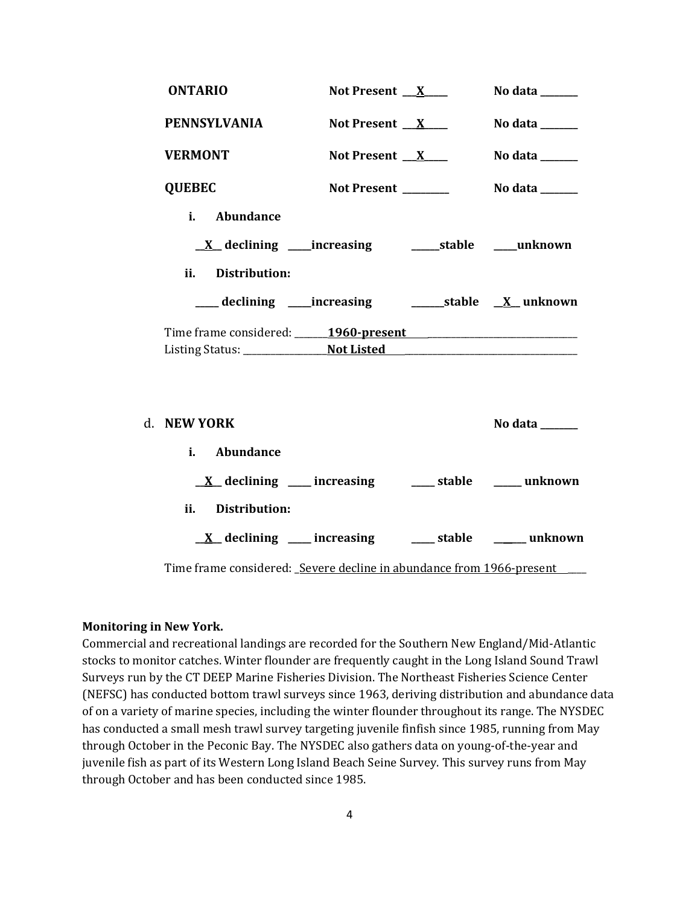| <b>ONTARIO</b>                                                       | Not Present $X$                                                      | No data $\_\_\_\_\_\_\_\_\_\_\_\$ |
|----------------------------------------------------------------------|----------------------------------------------------------------------|-----------------------------------|
| <b>PENNSYLVANIA</b>                                                  | Not Present $X$                                                      | No data _____                     |
| <b>VERMONT</b>                                                       | Not Present $X$                                                      | No data ______                    |
| <b>QUEBEC</b>                                                        | Not Present _______                                                  | No data $\_\_$                    |
| i. Abundance<br>ii.<br><b>Distribution:</b>                          | <u>X</u> declining ____increasing __________stable _____unknown      |                                   |
|                                                                      |                                                                      |                                   |
| Time frame considered: 1960-present                                  |                                                                      |                                   |
|                                                                      |                                                                      |                                   |
| d. NEW YORK                                                          |                                                                      | No data $\_\_$                    |
| Abundance<br>$i$ .                                                   |                                                                      |                                   |
|                                                                      | $\underline{X}$ declining ____ increasing _____ stable _____ unknown |                                   |
| ii.<br>Distribution:                                                 |                                                                      |                                   |
|                                                                      | $\underline{X}$ declining ____ increasing _____ stable _____ unknown |                                   |
| Time frame considered: Severe decline in abundance from 1966-present |                                                                      |                                   |

### **Monitoring in New York.**

Commercial and recreational landings are recorded for the Southern New England/Mid-Atlantic stocks to monitor catches. Winter flounder are frequently caught in the Long Island Sound Trawl Surveys run by the CT DEEP Marine Fisheries Division. The Northeast Fisheries Science Center (NEFSC) has conducted bottom trawl surveys since 1963, deriving distribution and abundance data of on a variety of marine species, including the winter flounder throughout its range. The NYSDEC has conducted a small mesh trawl survey targeting juvenile finfish since 1985, running from May through October in the Peconic Bay. The NYSDEC also gathers data on young-of-the-year and juvenile fish as part of its Western Long Island Beach Seine Survey. This survey runs from May through October and has been conducted since 1985.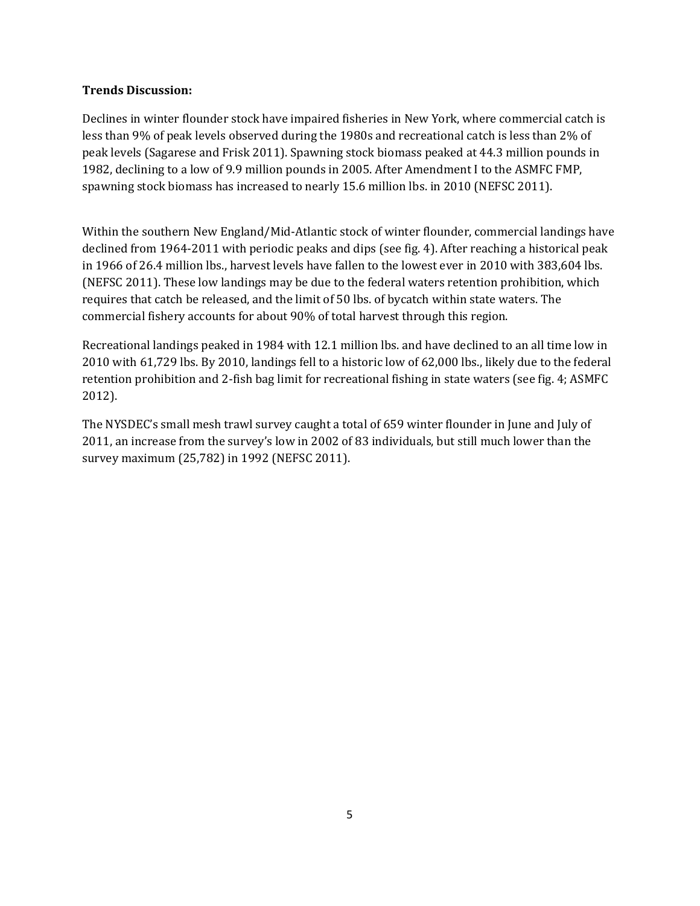## **Trends Discussion:**

Declines in winter flounder stock have impaired fisheries in New York, where commercial catch is less than 9% of peak levels observed during the 1980s and recreational catch is less than 2% of peak levels (Sagarese and Frisk 2011). Spawning stock biomass peaked at 44.3 million pounds in 1982, declining to a low of 9.9 million pounds in 2005. After Amendment I to the ASMFC FMP, spawning stock biomass has increased to nearly 15.6 million lbs. in 2010 (NEFSC 2011).

Within the southern New England/Mid-Atlantic stock of winter flounder, commercial landings have declined from 1964-2011 with periodic peaks and dips (see fig. 4). After reaching a historical peak in 1966 of 26.4 million lbs., harvest levels have fallen to the lowest ever in 2010 with 383,604 lbs. (NEFSC 2011). These low landings may be due to the federal waters retention prohibition, which requires that catch be released, and the limit of 50 lbs. of bycatch within state waters. The commercial fishery accounts for about 90% of total harvest through this region.

Recreational landings peaked in 1984 with 12.1 million lbs. and have declined to an all time low in 2010 with 61,729 lbs. By 2010, landings fell to a historic low of 62,000 lbs., likely due to the federal retention prohibition and 2-fish bag limit for recreational fishing in state waters (see fig. 4; ASMFC 2012).

The NYSDEC's small mesh trawl survey caught a total of 659 winter flounder in June and July of 2011, an increase from the survey's low in 2002 of 83 individuals, but still much lower than the survey maximum (25,782) in 1992 (NEFSC 2011).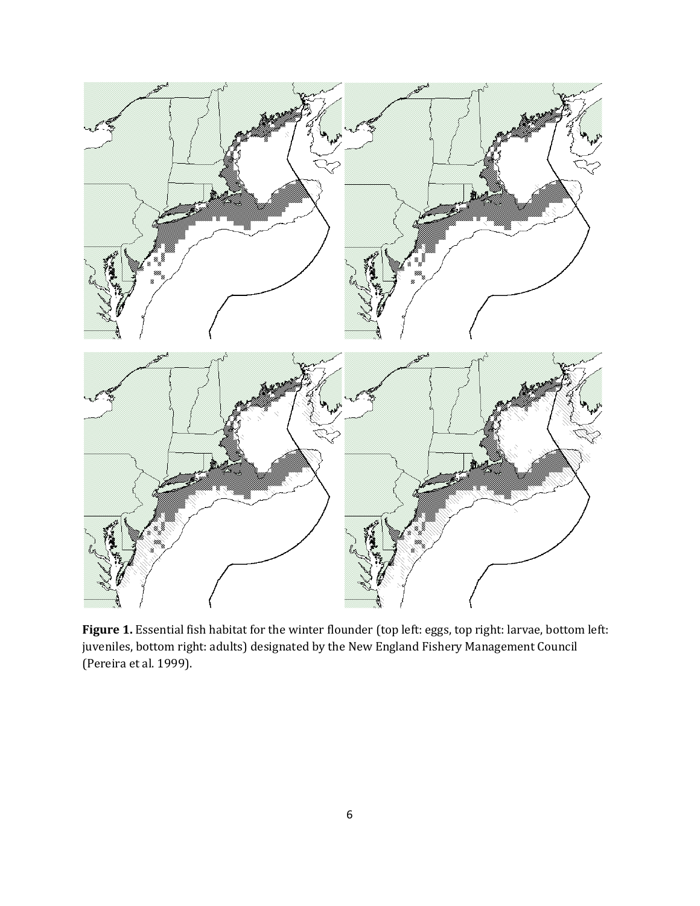

**Figure 1.** Essential fish habitat for the winter flounder (top left: eggs, top right: larvae, bottom left: juveniles, bottom right: adults) designated by the New England Fishery Management Council (Pereira et al. 1999).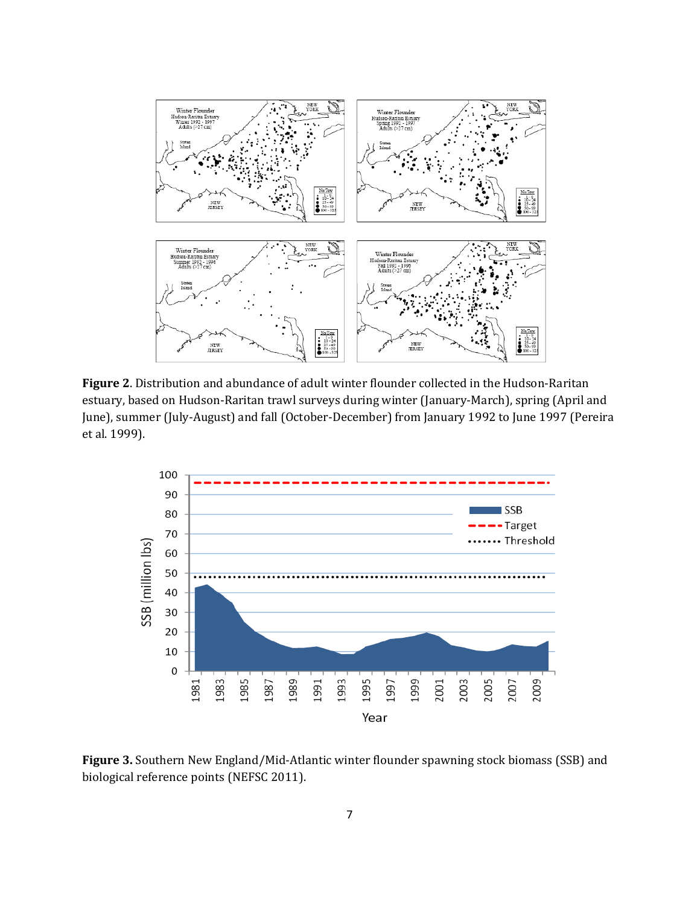

**Figure 2**. Distribution and abundance of adult winter flounder collected in the Hudson-Raritan estuary, based on Hudson-Raritan trawl surveys during winter (January-March), spring (April and June), summer (July-August) and fall (October-December) from January 1992 to June 1997 (Pereira et al. 1999).



**Figure 3.** Southern New England/Mid-Atlantic winter flounder spawning stock biomass (SSB) and biological reference points (NEFSC 2011).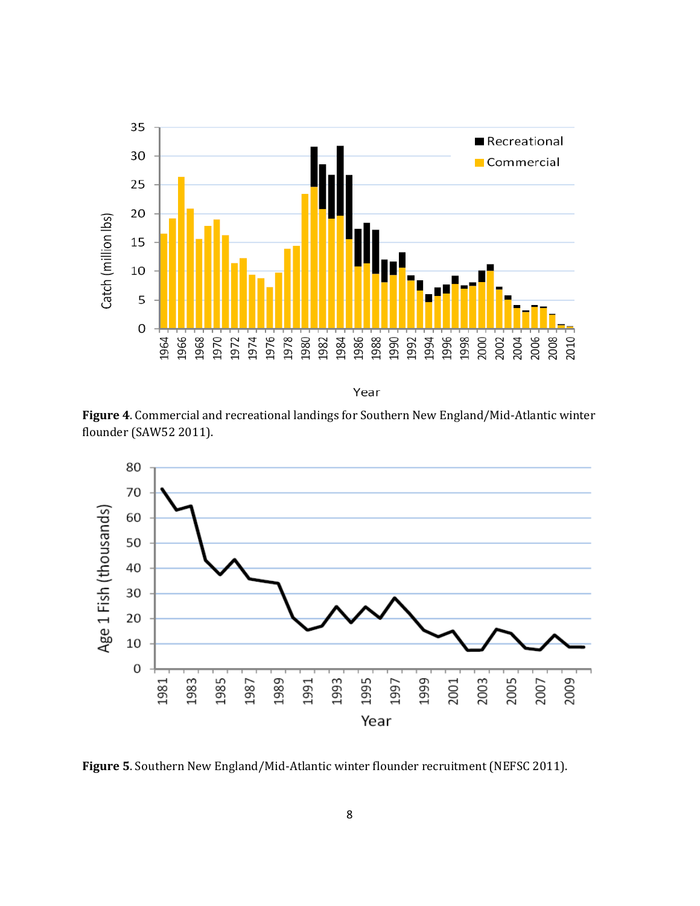

Year

**Figure 4**. Commercial and recreational landings for Southern New England/Mid-Atlantic winter flounder (SAW52 2011).



**Figure 5**. Southern New England/Mid-Atlantic winter flounder recruitment (NEFSC 2011).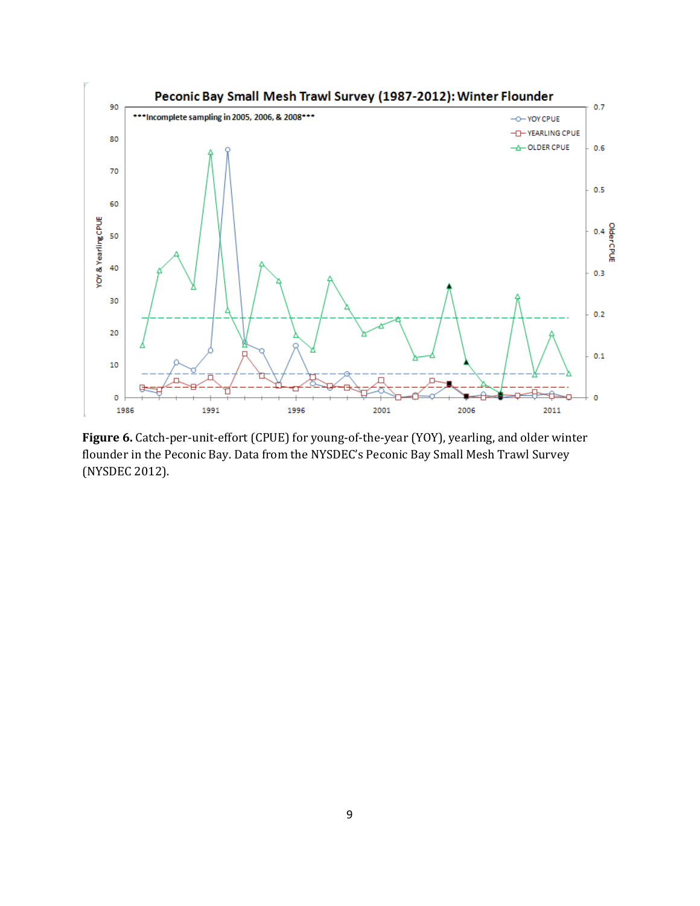

**Figure 6.** Catch-per-unit-effort (CPUE) for young-of-the-year (YOY), yearling, and older winter flounder in the Peconic Bay. Data from the NYSDEC's Peconic Bay Small Mesh Trawl Survey (NYSDEC 2012).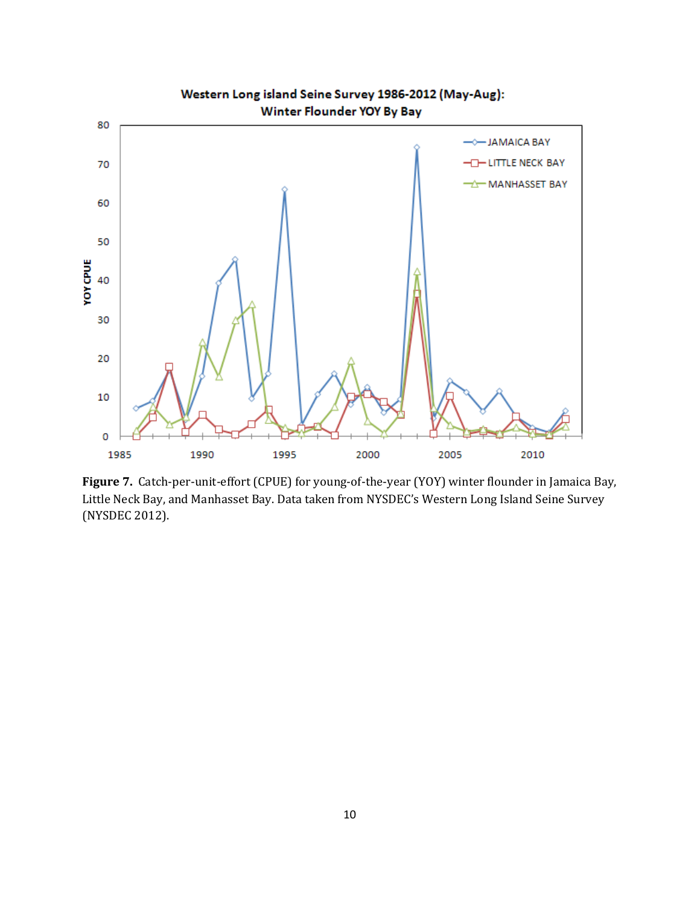

**Figure 7.** Catch-per-unit-effort (CPUE) for young-of-the-year (YOY) winter flounder in Jamaica Bay, Little Neck Bay, and Manhasset Bay. Data taken from NYSDEC's Western Long Island Seine Survey (NYSDEC 2012).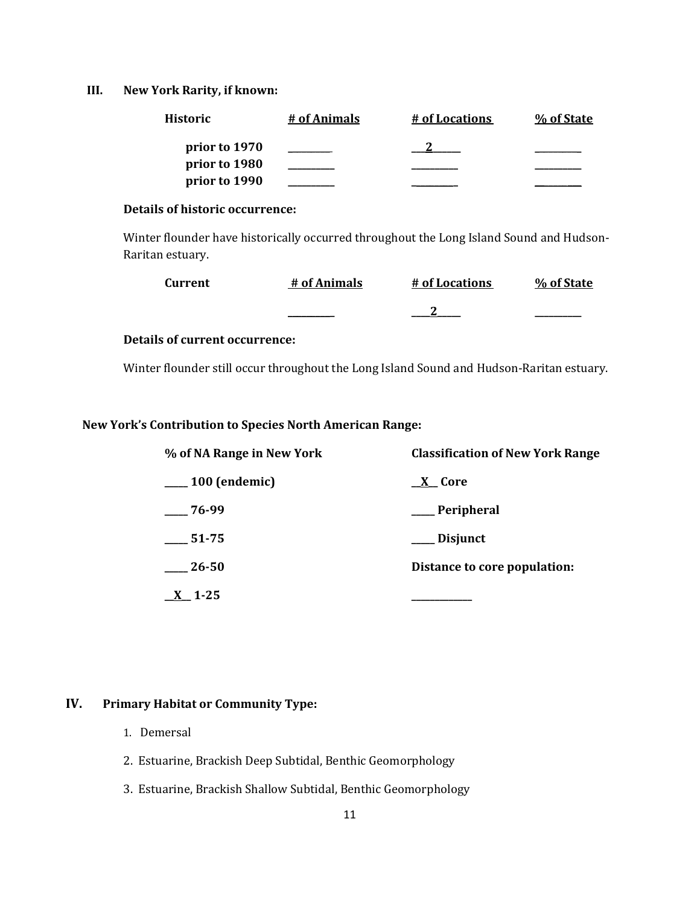### **III. New York Rarity, if known:**

| Historic      | # of Animals | # of Locations | % of State |
|---------------|--------------|----------------|------------|
| prior to 1970 |              |                |            |
| prior to 1980 |              |                |            |
| prior to 1990 |              |                |            |

## **Details of historic occurrence:**

Winter flounder have historically occurred throughout the Long Island Sound and Hudson-Raritan estuary.

| <b>Current</b> | # of Animals | # of Locations | % of State |
|----------------|--------------|----------------|------------|
|                |              |                |            |

## **Details of current occurrence:**

Winter flounder still occur throughout the Long Island Sound and Hudson-Raritan estuary.

### **New York's Contribution to Species North American Range:**

| % of NA Range in New York | <b>Classification of New York Range</b> |  |  |
|---------------------------|-----------------------------------------|--|--|
| $\_\_100$ (endemic)       | X Core                                  |  |  |
| $-76-99$                  | __Peripheral                            |  |  |
| 51-75                     | __ Disjunct                             |  |  |
| 26-50                     | Distance to core population:            |  |  |
| $\underline{X}$ 1-25      |                                         |  |  |

## **IV. Primary Habitat or Community Type:**

- 1. Demersal
- 2. Estuarine, Brackish Deep Subtidal, Benthic Geomorphology
- 3. Estuarine, Brackish Shallow Subtidal, Benthic Geomorphology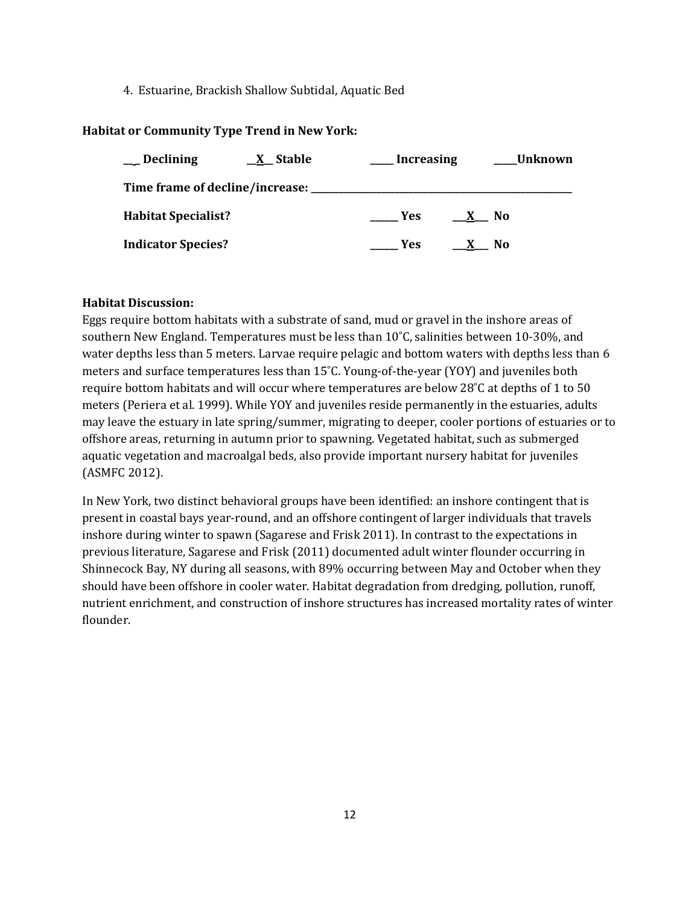4. Estuarine, Brackish Shallow Subtidal, Aquatic Bed

### **Habitat or Community Type Trend in New York:**

| <b>Declining</b>           | $\underline{X}$ Stable                  | <b>Increasing</b> |              | Unknown |
|----------------------------|-----------------------------------------|-------------------|--------------|---------|
|                            | Time frame of decline/increase: _______ |                   |              |         |
| <b>Habitat Specialist?</b> |                                         | Yes:              | $\mathbf{X}$ | - No    |
| <b>Indicator Species?</b>  |                                         | Yes.              |              | No      |

### **Habitat Discussion:**

Eggs require bottom habitats with a substrate of sand, mud or gravel in the inshore areas of southern New England. Temperatures must be less than 10˚C, salinities between 10-30%, and water depths less than 5 meters. Larvae require pelagic and bottom waters with depths less than 6 meters and surface temperatures less than 15˚C. Young-of-the-year (YOY) and juveniles both require bottom habitats and will occur where temperatures are below 28˚C at depths of 1 to 50 meters (Periera et al. 1999). While YOY and juveniles reside permanently in the estuaries, adults may leave the estuary in late spring/summer, migrating to deeper, cooler portions of estuaries or to offshore areas, returning in autumn prior to spawning. Vegetated habitat, such as submerged aquatic vegetation and macroalgal beds, also provide important nursery habitat for juveniles (ASMFC 2012).

In New York, two distinct behavioral groups have been identified: an inshore contingent that is present in coastal bays year-round, and an offshore contingent of larger individuals that travels inshore during winter to spawn (Sagarese and Frisk 2011). In contrast to the expectations in previous literature, Sagarese and Frisk (2011) documented adult winter flounder occurring in Shinnecock Bay, NY during all seasons, with 89% occurring between May and October when they should have been offshore in cooler water. Habitat degradation from dredging, pollution, runoff, nutrient enrichment, and construction of inshore structures has increased mortality rates of winter flounder.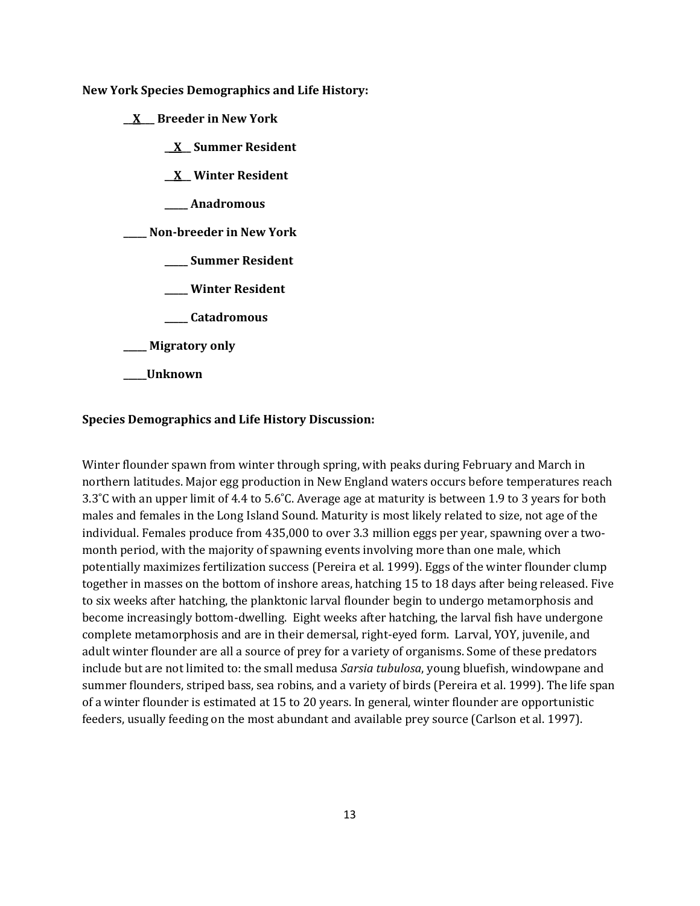**New York Species Demographics and Life History:**

- **\_\_X\_\_\_ Breeder in New York**
	- **\_\_X\_\_ Summer Resident**
	- **\_\_X\_\_ Winter Resident**
	- **\_\_\_\_\_ Anadromous**

### **\_\_\_\_\_ Non-breeder in New York**

- **\_\_\_\_\_ Summer Resident**
- **\_\_\_\_\_ Winter Resident**
- **\_\_\_\_\_ Catadromous**
- **\_\_\_\_\_ Migratory only**
- **\_\_\_\_\_Unknown**

#### **Species Demographics and Life History Discussion:**

Winter flounder spawn from winter through spring, with peaks during February and March in northern latitudes. Major egg production in New England waters occurs before temperatures reach 3.3˚C with an upper limit of 4.4 to 5.6˚C. Average age at maturity is between 1.9 to 3 years for both males and females in the Long Island Sound. Maturity is most likely related to size, not age of the individual. Females produce from 435,000 to over 3.3 million eggs per year, spawning over a twomonth period, with the majority of spawning events involving more than one male, which potentially maximizes fertilization success (Pereira et al. 1999). Eggs of the winter flounder clump together in masses on the bottom of inshore areas, hatching 15 to 18 days after being released. Five to six weeks after hatching, the planktonic larval flounder begin to undergo metamorphosis and become increasingly bottom-dwelling. Eight weeks after hatching, the larval fish have undergone complete metamorphosis and are in their demersal, right-eyed form. Larval, YOY, juvenile, and adult winter flounder are all a source of prey for a variety of organisms. Some of these predators include but are not limited to: the small medusa *Sarsia tubulosa*, young bluefish, windowpane and summer flounders, striped bass, sea robins, and a variety of birds (Pereira et al. 1999). The life span of a winter flounder is estimated at 15 to 20 years. In general, winter flounder are opportunistic feeders, usually feeding on the most abundant and available prey source (Carlson et al. 1997).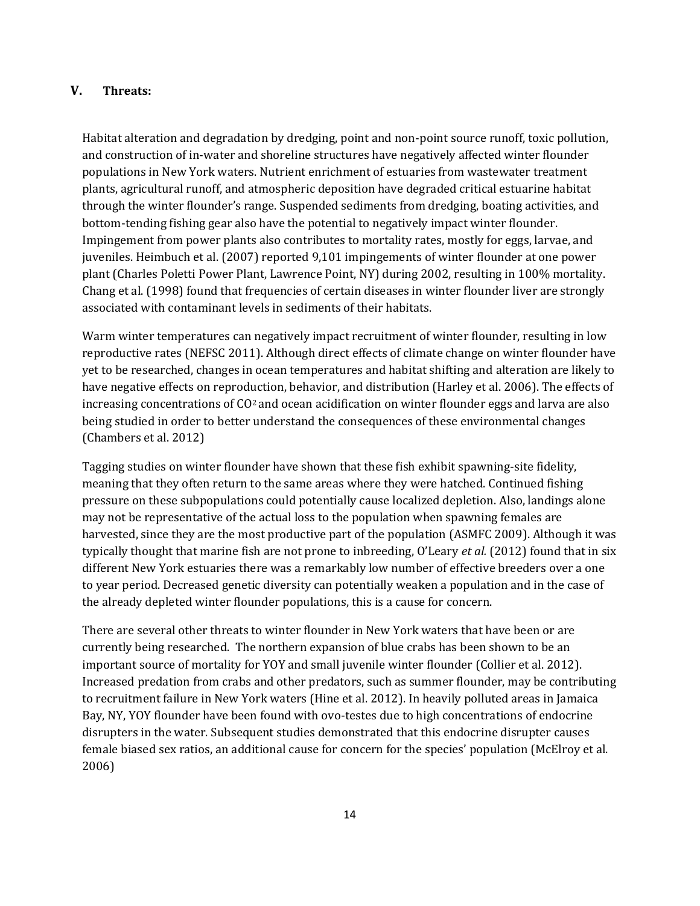## **V. Threats:**

Habitat alteration and degradation by dredging, point and non-point source runoff, toxic pollution, and construction of in-water and shoreline structures have negatively affected winter flounder populations in New York waters. Nutrient enrichment of estuaries from wastewater treatment plants, agricultural runoff, and atmospheric deposition have degraded critical estuarine habitat through the winter flounder's range. Suspended sediments from dredging, boating activities, and bottom-tending fishing gear also have the potential to negatively impact winter flounder. Impingement from power plants also contributes to mortality rates, mostly for eggs, larvae, and juveniles. Heimbuch et al. (2007) reported 9,101 impingements of winter flounder at one power plant (Charles Poletti Power Plant, Lawrence Point, NY) during 2002, resulting in 100% mortality. Chang et al. (1998) found that frequencies of certain diseases in winter flounder liver are strongly associated with contaminant levels in sediments of their habitats.

Warm winter temperatures can negatively impact recruitment of winter flounder, resulting in low reproductive rates (NEFSC 2011). Although direct effects of climate change on winter flounder have yet to be researched, changes in ocean temperatures and habitat shifting and alteration are likely to have negative effects on reproduction, behavior, and distribution (Harley et al. 2006). The effects of increasing concentrations of  $C_2^2$  and ocean acidification on winter flounder eggs and larva are also being studied in order to better understand the consequences of these environmental changes (Chambers et al. 2012)

Tagging studies on winter flounder have shown that these fish exhibit spawning-site fidelity, meaning that they often return to the same areas where they were hatched. Continued fishing pressure on these subpopulations could potentially cause localized depletion. Also, landings alone may not be representative of the actual loss to the population when spawning females are harvested, since they are the most productive part of the population (ASMFC 2009). Although it was typically thought that marine fish are not prone to inbreeding, O'Leary *et al.* (2012) found that in six different New York estuaries there was a remarkably low number of effective breeders over a one to year period. Decreased genetic diversity can potentially weaken a population and in the case of the already depleted winter flounder populations, this is a cause for concern.

There are several other threats to winter flounder in New York waters that have been or are currently being researched. The northern expansion of blue crabs has been shown to be an important source of mortality for YOY and small juvenile winter flounder (Collier et al. 2012). Increased predation from crabs and other predators, such as summer flounder, may be contributing to recruitment failure in New York waters (Hine et al. 2012). In heavily polluted areas in Jamaica Bay, NY, YOY flounder have been found with ovo-testes due to high concentrations of endocrine disrupters in the water. Subsequent studies demonstrated that this endocrine disrupter causes female biased sex ratios, an additional cause for concern for the species' population (McElroy et al. 2006)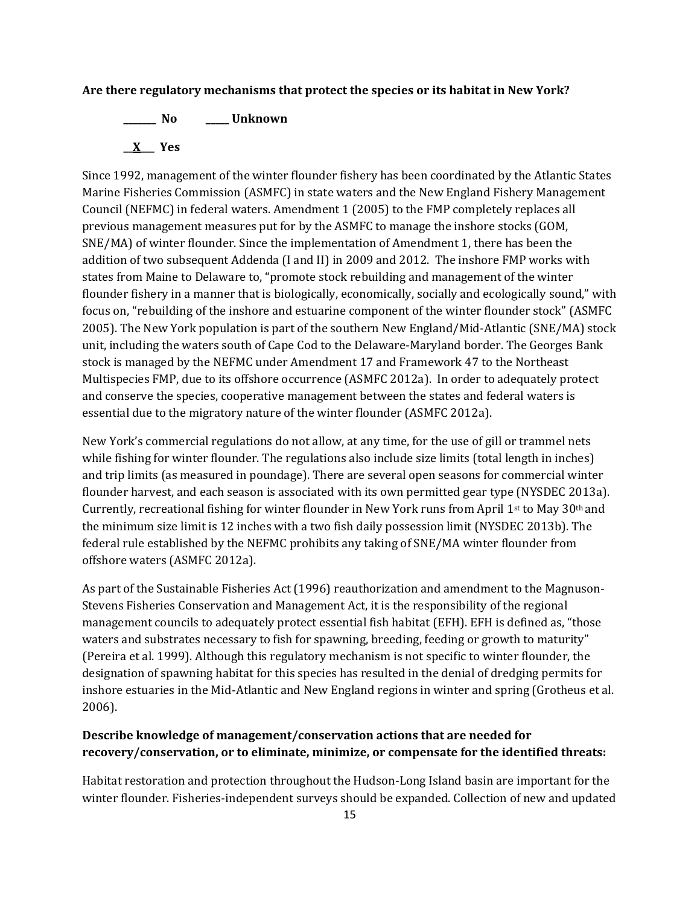#### **Are there regulatory mechanisms that protect the species or its habitat in New York?**

**\_\_\_\_\_\_\_ No \_\_\_\_\_ Unknown \_\_X\_\_\_ Yes** 

Since 1992, management of the winter flounder fishery has been coordinated by the Atlantic States Marine Fisheries Commission (ASMFC) in state waters and the New England Fishery Management Council (NEFMC) in federal waters. Amendment 1 (2005) to the FMP completely replaces all previous management measures put for by the ASMFC to manage the inshore stocks (GOM, SNE/MA) of winter flounder. Since the implementation of Amendment 1, there has been the addition of two subsequent Addenda (I and II) in 2009 and 2012. The inshore FMP works with states from Maine to Delaware to, "promote stock rebuilding and management of the winter flounder fishery in a manner that is biologically, economically, socially and ecologically sound," with focus on, "rebuilding of the inshore and estuarine component of the winter flounder stock" (ASMFC 2005). The New York population is part of the southern New England/Mid-Atlantic (SNE/MA) stock unit, including the waters south of Cape Cod to the Delaware-Maryland border. The Georges Bank stock is managed by the NEFMC under Amendment 17 and Framework 47 to the Northeast Multispecies FMP, due to its offshore occurrence (ASMFC 2012a). In order to adequately protect and conserve the species, cooperative management between the states and federal waters is essential due to the migratory nature of the winter flounder (ASMFC 2012a).

New York's commercial regulations do not allow, at any time, for the use of gill or trammel nets while fishing for winter flounder. The regulations also include size limits (total length in inches) and trip limits (as measured in poundage). There are several open seasons for commercial winter flounder harvest, and each season is associated with its own permitted gear type (NYSDEC 2013a). Currently, recreational fishing for winter flounder in New York runs from April 1st to May 30th and the minimum size limit is 12 inches with a two fish daily possession limit (NYSDEC 2013b). The federal rule established by the NEFMC prohibits any taking of SNE/MA winter flounder from offshore waters (ASMFC 2012a).

As part of the Sustainable Fisheries Act (1996) reauthorization and amendment to the Magnuson-Stevens Fisheries Conservation and Management Act, it is the responsibility of the regional management councils to adequately protect essential fish habitat (EFH). EFH is defined as, "those waters and substrates necessary to fish for spawning, breeding, feeding or growth to maturity" (Pereira et al. 1999). Although this regulatory mechanism is not specific to winter flounder, the designation of spawning habitat for this species has resulted in the denial of dredging permits for inshore estuaries in the Mid-Atlantic and New England regions in winter and spring (Grotheus et al. 2006).

## **Describe knowledge of management/conservation actions that are needed for recovery/conservation, or to eliminate, minimize, or compensate for the identified threats:**

Habitat restoration and protection throughout the Hudson-Long Island basin are important for the winter flounder. Fisheries-independent surveys should be expanded. Collection of new and updated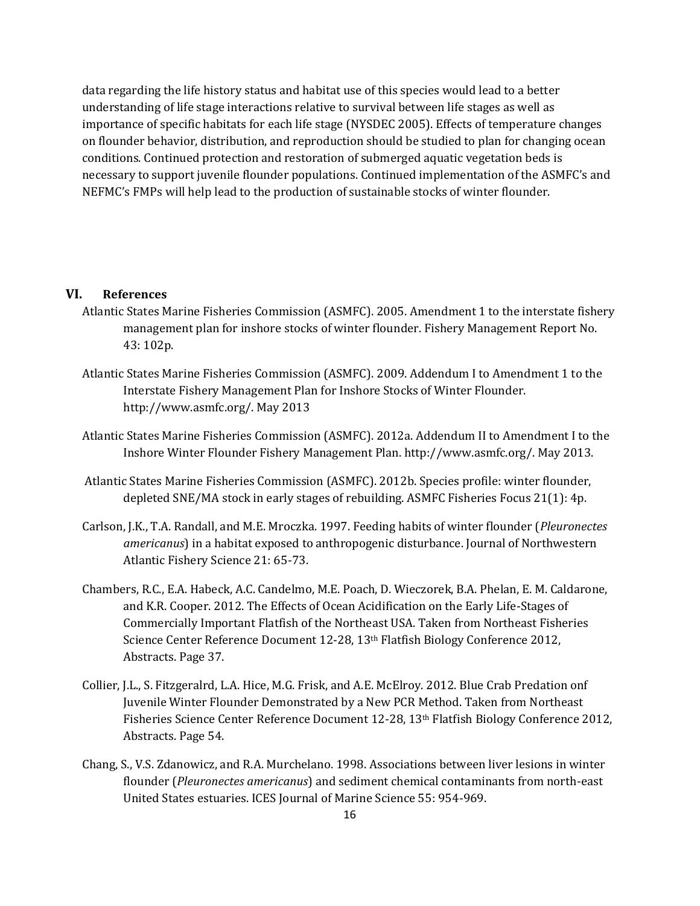data regarding the life history status and habitat use of this species would lead to a better understanding of life stage interactions relative to survival between life stages as well as importance of specific habitats for each life stage (NYSDEC 2005). Effects of temperature changes on flounder behavior, distribution, and reproduction should be studied to plan for changing ocean conditions. Continued protection and restoration of submerged aquatic vegetation beds is necessary to support juvenile flounder populations. Continued implementation of the ASMFC's and NEFMC's FMPs will help lead to the production of sustainable stocks of winter flounder.

#### **VI. References**

- Atlantic States Marine Fisheries Commission (ASMFC). 2005. Amendment 1 to the interstate fishery management plan for inshore stocks of winter flounder. Fishery Management Report No. 43: 102p.
- Atlantic States Marine Fisheries Commission (ASMFC). 2009. Addendum I to Amendment 1 to the Interstate Fishery Management Plan for Inshore Stocks of Winter Flounder. http://www.asmfc.org/. May 2013
- Atlantic States Marine Fisheries Commission (ASMFC). 2012a. Addendum II to Amendment I to the Inshore Winter Flounder Fishery Management Plan. http://www.asmfc.org/. May 2013.
- Atlantic States Marine Fisheries Commission (ASMFC). 2012b. Species profile: winter flounder, depleted SNE/MA stock in early stages of rebuilding. ASMFC Fisheries Focus 21(1): 4p.
- Carlson, J.K., T.A. Randall, and M.E. Mroczka. 1997. Feeding habits of winter flounder (*Pleuronectes americanus*) in a habitat exposed to anthropogenic disturbance. Journal of Northwestern Atlantic Fishery Science 21: 65-73.
- Chambers, R.C., E.A. Habeck, A.C. Candelmo, M.E. Poach, D. Wieczorek, B.A. Phelan, E. M. Caldarone, and K.R. Cooper. 2012. The Effects of Ocean Acidification on the Early Life-Stages of Commercially Important Flatfish of the Northeast USA. Taken from Northeast Fisheries Science Center Reference Document 12-28, 13<sup>th</sup> Flatfish Biology Conference 2012, Abstracts. Page 37.
- Collier, J.L., S. Fitzgeralrd, L.A. Hice, M.G. Frisk, and A.E. McElroy. 2012. Blue Crab Predation onf Juvenile Winter Flounder Demonstrated by a New PCR Method. Taken from Northeast Fisheries Science Center Reference Document 12-28, 13th Flatfish Biology Conference 2012, Abstracts. Page 54.
- Chang, S., V.S. Zdanowicz, and R.A. Murchelano. 1998. Associations between liver lesions in winter flounder (*Pleuronectes americanus*) and sediment chemical contaminants from north-east United States estuaries. ICES Journal of Marine Science 55: 954-969.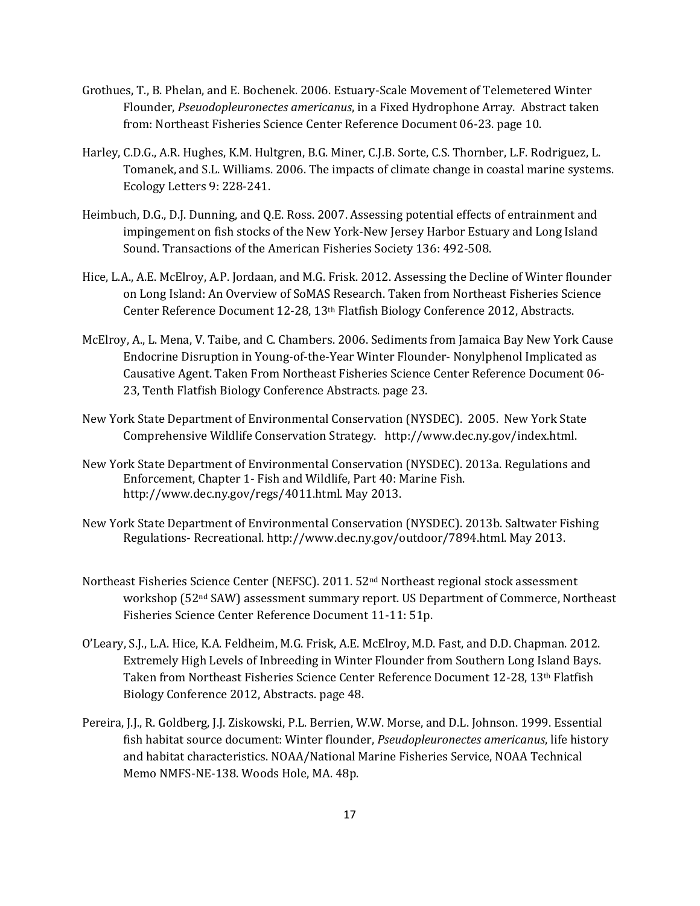- Grothues, T., B. Phelan, and E. Bochenek. 2006. Estuary-Scale Movement of Telemetered Winter Flounder, *Pseuodopleuronectes americanus*, in a Fixed Hydrophone Array. Abstract taken from: Northeast Fisheries Science Center Reference Document 06-23. page 10.
- Harley, C.D.G., A.R. Hughes, K.M. Hultgren, B.G. Miner, C.J.B. Sorte, C.S. Thornber, L.F. Rodriguez, L. Tomanek, and S.L. Williams. 2006. The impacts of climate change in coastal marine systems. Ecology Letters 9: 228-241.
- Heimbuch, D.G., D.J. Dunning, and Q.E. Ross. 2007. Assessing potential effects of entrainment and impingement on fish stocks of the New York-New Jersey Harbor Estuary and Long Island Sound. Transactions of the American Fisheries Society 136: 492-508.
- Hice, L.A., A.E. McElroy, A.P. Jordaan, and M.G. Frisk. 2012. Assessing the Decline of Winter flounder on Long Island: An Overview of SoMAS Research. Taken from Northeast Fisheries Science Center Reference Document 12-28, 13th Flatfish Biology Conference 2012, Abstracts.
- McElroy, A., L. Mena, V. Taibe, and C. Chambers. 2006. Sediments from Jamaica Bay New York Cause Endocrine Disruption in Young-of-the-Year Winter Flounder- Nonylphenol Implicated as Causative Agent. Taken From Northeast Fisheries Science Center Reference Document 06- 23, Tenth Flatfish Biology Conference Abstracts. page 23.
- New York State Department of Environmental Conservation (NYSDEC). 2005. New York State Comprehensive Wildlife Conservation Strategy. http://www.dec.ny.gov/index.html.
- New York State Department of Environmental Conservation (NYSDEC). 2013a. Regulations and Enforcement, Chapter 1- Fish and Wildlife, Part 40: Marine Fish. http://www.dec.ny.gov/regs/4011.html. May 2013.
- New York State Department of Environmental Conservation (NYSDEC). 2013b. Saltwater Fishing Regulations- Recreational. http://www.dec.ny.gov/outdoor/7894.html. May 2013.
- Northeast Fisheries Science Center (NEFSC). 2011. 52nd Northeast regional stock assessment workshop (52<sup>nd</sup> SAW) assessment summary report. US Department of Commerce, Northeast Fisheries Science Center Reference Document 11-11: 51p.
- O'Leary, S.J., L.A. Hice, K.A. Feldheim, M.G. Frisk, A.E. McElroy, M.D. Fast, and D.D. Chapman. 2012. Extremely High Levels of Inbreeding in Winter Flounder from Southern Long Island Bays. Taken from Northeast Fisheries Science Center Reference Document 12-28, 13th Flatfish Biology Conference 2012, Abstracts. page 48.
- Pereira, J.J., R. Goldberg, J.J. Ziskowski, P.L. Berrien, W.W. Morse, and D.L. Johnson. 1999. Essential fish habitat source document: Winter flounder, *Pseudopleuronectes americanus*, life history and habitat characteristics. NOAA/National Marine Fisheries Service, NOAA Technical Memo NMFS-NE-138. Woods Hole, MA. 48p.